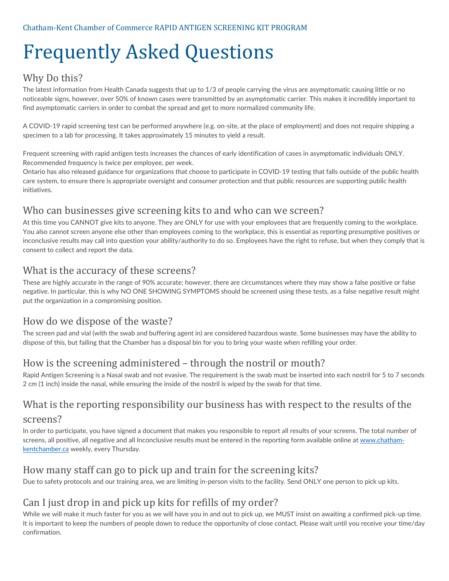# Frequently Asked Questions

#### Why Do this?

The latest information from Health Canada suggests that up to 1/3 of people carrying the virus are asymptomatic causing little or no noticeable signs, however, over 50% of known cases were transmitted by an asymptomatic carrier. This makes it incredibly important to find asymptomatic carriers in order to combat the spread and get to more normalized community life.

A COVID-19 rapid screening test can be performed anywhere (e.g. on-site, at the place of employment) and does not require shipping a specimen to a lab for processing. It takes approximately 15 minutes to yield a result.

Frequent screening with rapid antigen tests increases the chances of early identification of cases in asymptomatic individuals ONLY. Recommended frequency is twice per employee, per week.

Ontario has also released guidance for organizations that choose to participate in COVID-19 testing that falls outside of the public health care system, to ensure there is appropriate oversight and consumer protection and that public resources are supporting public health initiatives.

#### Who can businesses give screening kits to and who can we screen?

At this time you CANNOT give kits to anyone. They are ONLY for use with your employees that are frequently coming to the workplace. You also cannot screen anyone else other than employees coming to the workplace, this is essential as reporting presumptive positives or inconclusive results may call into question your ability/authority to do so. Employees have the right to refuse, but when they comply that is consent to collect and report the data.

#### What is the accuracy of these screens?

These are highly accurate in the range of 90% accurate; however, there are circumstances where they may show a false positive or false negative. In particular, this is why NO ONE SHOWING SYMPTOMS should be screened using these tests, as a false negative result might put the organization in a compromising position.

#### How do we dispose of the waste?

The screen pad and vial (with the swab and buffering agent in) are considered hazardous waste. Some businesses may have the ability to dispose of this, but failing that the Chamber has a disposal bin for you to bring your waste when refilling your order.

# How is the screening administered – through the nostril or mouth?

Rapid Antigen Screening is a Nasal swab and not evasive. The requirement is the swab must be inserted into each nostril for 5 to 7 seconds 2 cm (1 inch) inside the nasal, while ensuring the inside of the nostril is wiped by the swab for that time.

# What is the reporting responsibility our business has with respect to the results of the

#### screens?

In order to participate, you have signed a document that makes you responsible to report all results of your screens. The total number of screens, all positive, all negative and all Inconclusive results must be entered in the reporting form available online at [www.chatham](http://www.chatham-kentchamber.ca/)[kentchamber.ca](http://www.chatham-kentchamber.ca/) weekly, every Thursday.

# How many staff can go to pick up and train for the screening kits?

Due to safety protocols and our training area, we are limiting in-person visits to the facility. Send ONLY one person to pick up kits.

# Can I just drop in and pick up kits for refills of my order?

While we will make it much faster for you as we will have you in and out to pick up, we MUST insist on awaiting a confirmed pick-up time. It is important to keep the numbers of people down to reduce the opportunity of close contact. Please wait until you receive your time/day confirmation.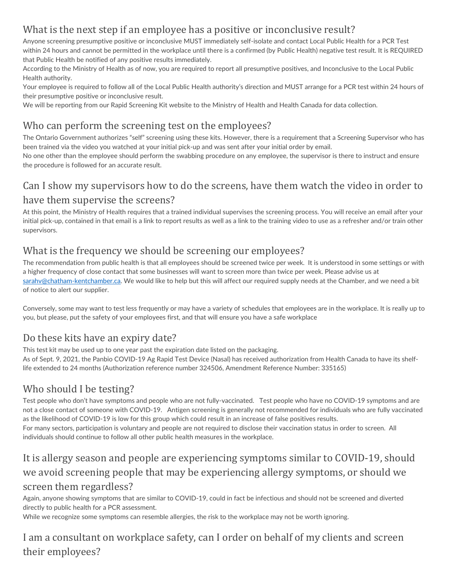# What is the next step if an employee has a positive or inconclusive result?

Anyone screening presumptive positive or inconclusive MUST immediately self-isolate and contact Local Public Health for a PCR Test within 24 hours and cannot be permitted in the workplace until there is a confirmed (by Public Health) negative test result. It is REQUIRED that Public Health be notified of any positive results immediately.

According to the Ministry of Health as of now, you are required to report all presumptive positives, and Inconclusive to the Local Public Health authority.

Your employee is required to follow all of the Local Public Health authority's direction and MUST arrange for a PCR test within 24 hours of their presumptive positive or inconclusive result.

We will be reporting from our Rapid Screening Kit website to the Ministry of Health and Health Canada for data collection.

# Who can perform the screening test on the employees?

The Ontario Government authorizes "self" screening using these kits. However, there is a requirement that a Screening Supervisor who has been trained via the video you watched at your initial pick-up and was sent after your initial order by email.

No one other than the employee should perform the swabbing procedure on any employee, the supervisor is there to instruct and ensure the procedure is followed for an accurate result.

# Can I show my supervisors how to do the screens, have them watch the video in order to have them supervise the screens?

At this point, the Ministry of Health requires that a trained individual supervises the screening process. You will receive an email after your initial pick-up, contained in that email is a link to report results as well as a link to the training video to use as a refresher and/or train other supervisors.

# What is the frequency we should be screening our employees?

The recommendation from public health is that all employees should be screened twice per week. It is understood in some settings or with a higher frequency of close contact that some businesses will want to screen more than twice per week. Please advise us at [sarahv@chatham-kentchamber.ca.](mailto:sarahv@chatham-kentchamber.ca) We would like to help but this will affect our required supply needs at the Chamber, and we need a bit of notice to alert our supplier.

Conversely, some may want to test less frequently or may have a variety of schedules that employees are in the workplace. It is really up to you, but please, put the safety of your employees first, and that will ensure you have a safe workplace

# Do these kits have an expiry date?

This test kit may be used up to one year past the expiration date listed on the packaging.

As of Sept. 9, 2021, the Panbio COVID-19 Ag Rapid Test Device (Nasal) has received authorization from Health Canada to have its shelflife extended to 24 months (Authorization reference number 324506, Amendment Reference Number: 335165)

# Who should I be testing?

Test people who don't have symptoms and people who are not fully-vaccinated. Test people who have no COVID-19 symptoms and are not a close contact of someone with COVID-19. Antigen screening is generally not recommended for individuals who are fully vaccinated as the likelihood of COVID-19 is low for this group which could result in an increase of false positives results. For many sectors, participation is voluntary and people are not required to disclose their vaccination status in order to screen. All individuals should continue to follow all other public health measures in the workplace.

# It is allergy season and people are experiencing symptoms similar to COVID-19, should we avoid screening people that may be experiencing allergy symptoms, or should we screen them regardless?

Again, anyone showing symptoms that are similar to COVID-19, could in fact be infectious and should not be screened and diverted directly to public health for a PCR assessment.

While we recognize some symptoms can resemble allergies, the risk to the workplace may not be worth ignoring.

# I am a consultant on workplace safety, can I order on behalf of my clients and screen their employees?